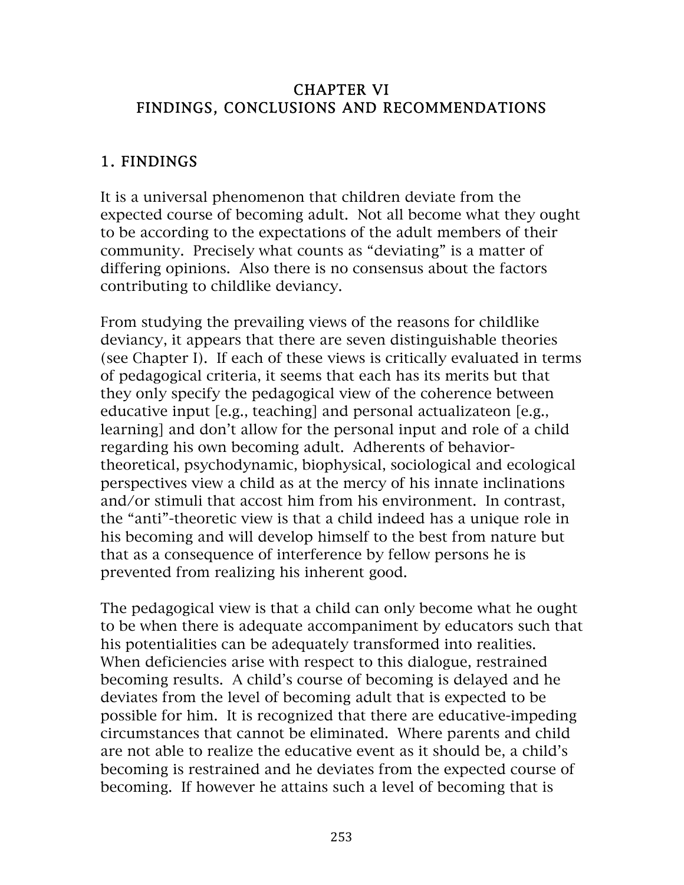#### CHAPTER VI FINDINGS, CONCLUSIONS AND RECOMMENDATIONS

#### 1. FINDINGS

It is a universal phenomenon that children deviate from the expected course of becoming adult. Not all become what they ought to be according to the expectations of the adult members of their community. Precisely what counts as "deviating" is a matter of differing opinions. Also there is no consensus about the factors contributing to childlike deviancy.

From studying the prevailing views of the reasons for childlike deviancy, it appears that there are seven distinguishable theories (see Chapter I). If each of these views is critically evaluated in terms of pedagogical criteria, it seems that each has its merits but that they only specify the pedagogical view of the coherence between educative input [e.g., teaching] and personal actualizateon [e.g., learning] and don't allow for the personal input and role of a child regarding his own becoming adult. Adherents of behaviortheoretical, psychodynamic, biophysical, sociological and ecological perspectives view a child as at the mercy of his innate inclinations and/or stimuli that accost him from his environment. In contrast, the "anti"-theoretic view is that a child indeed has a unique role in his becoming and will develop himself to the best from nature but that as a consequence of interference by fellow persons he is prevented from realizing his inherent good.

The pedagogical view is that a child can only become what he ought to be when there is adequate accompaniment by educators such that his potentialities can be adequately transformed into realities. When deficiencies arise with respect to this dialogue, restrained becoming results. A child's course of becoming is delayed and he deviates from the level of becoming adult that is expected to be possible for him. It is recognized that there are educative-impeding circumstances that cannot be eliminated. Where parents and child are not able to realize the educative event as it should be, a child's becoming is restrained and he deviates from the expected course of becoming. If however he attains such a level of becoming that is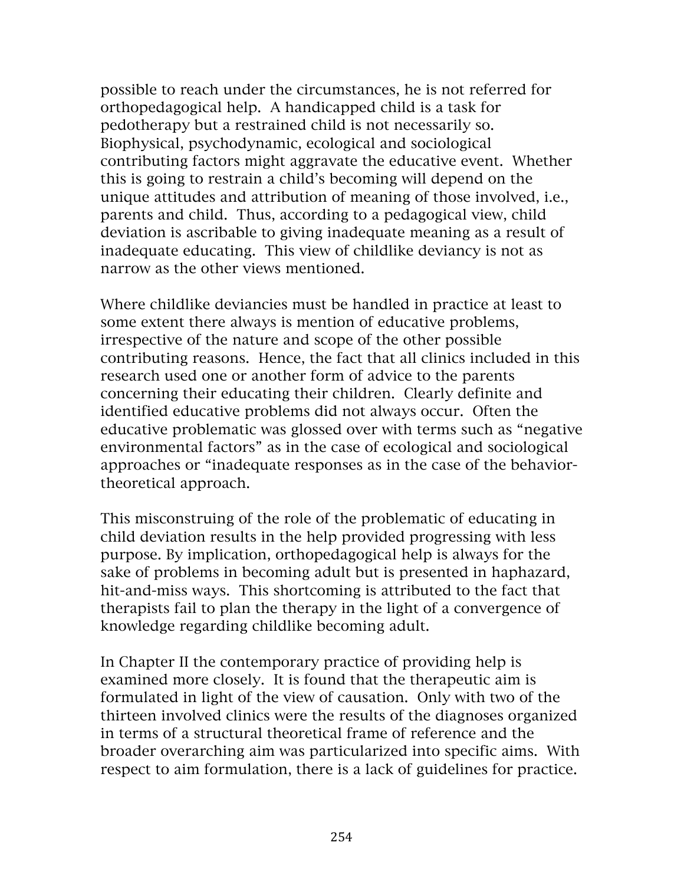possible to reach under the circumstances, he is not referred for orthopedagogical help. A handicapped child is a task for pedotherapy but a restrained child is not necessarily so. Biophysical, psychodynamic, ecological and sociological contributing factors might aggravate the educative event. Whether this is going to restrain a child's becoming will depend on the unique attitudes and attribution of meaning of those involved, i.e., parents and child. Thus, according to a pedagogical view, child deviation is ascribable to giving inadequate meaning as a result of inadequate educating. This view of childlike deviancy is not as narrow as the other views mentioned.

Where childlike deviancies must be handled in practice at least to some extent there always is mention of educative problems, irrespective of the nature and scope of the other possible contributing reasons. Hence, the fact that all clinics included in this research used one or another form of advice to the parents concerning their educating their children. Clearly definite and identified educative problems did not always occur. Often the educative problematic was glossed over with terms such as "negative environmental factors" as in the case of ecological and sociological approaches or "inadequate responses as in the case of the behaviortheoretical approach.

This misconstruing of the role of the problematic of educating in child deviation results in the help provided progressing with less purpose. By implication, orthopedagogical help is always for the sake of problems in becoming adult but is presented in haphazard, hit-and-miss ways. This shortcoming is attributed to the fact that therapists fail to plan the therapy in the light of a convergence of knowledge regarding childlike becoming adult.

In Chapter II the contemporary practice of providing help is examined more closely. It is found that the therapeutic aim is formulated in light of the view of causation. Only with two of the thirteen involved clinics were the results of the diagnoses organized in terms of a structural theoretical frame of reference and the broader overarching aim was particularized into specific aims. With respect to aim formulation, there is a lack of guidelines for practice.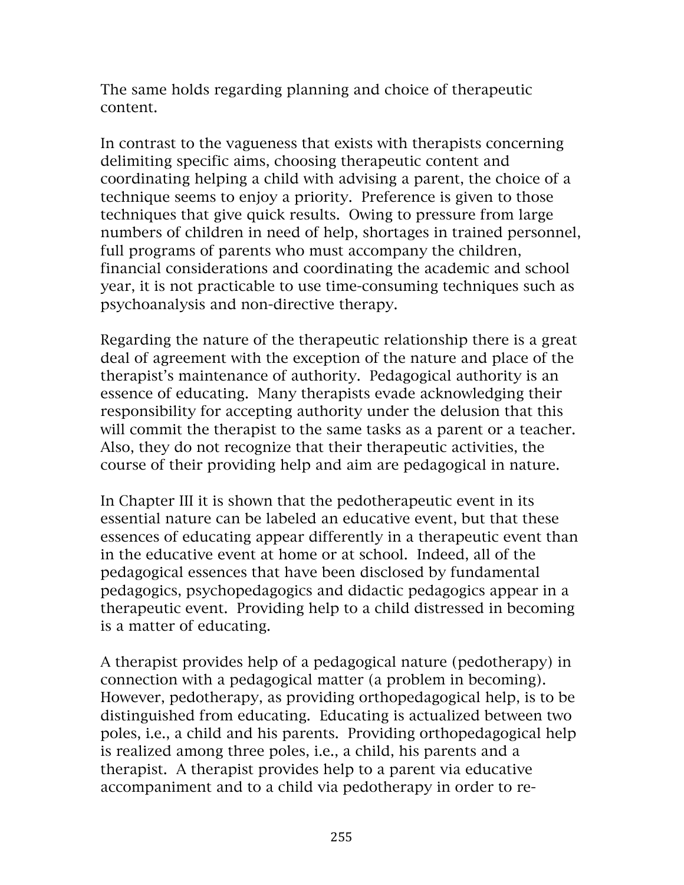The same holds regarding planning and choice of therapeutic content.

In contrast to the vagueness that exists with therapists concerning delimiting specific aims, choosing therapeutic content and coordinating helping a child with advising a parent, the choice of a technique seems to enjoy a priority. Preference is given to those techniques that give quick results. Owing to pressure from large numbers of children in need of help, shortages in trained personnel, full programs of parents who must accompany the children, financial considerations and coordinating the academic and school year, it is not practicable to use time-consuming techniques such as psychoanalysis and non-directive therapy.

Regarding the nature of the therapeutic relationship there is a great deal of agreement with the exception of the nature and place of the therapist's maintenance of authority. Pedagogical authority is an essence of educating. Many therapists evade acknowledging their responsibility for accepting authority under the delusion that this will commit the therapist to the same tasks as a parent or a teacher. Also, they do not recognize that their therapeutic activities, the course of their providing help and aim are pedagogical in nature.

In Chapter III it is shown that the pedotherapeutic event in its essential nature can be labeled an educative event, but that these essences of educating appear differently in a therapeutic event than in the educative event at home or at school. Indeed, all of the pedagogical essences that have been disclosed by fundamental pedagogics, psychopedagogics and didactic pedagogics appear in a therapeutic event. Providing help to a child distressed in becoming is a matter of educating.

A therapist provides help of a pedagogical nature (pedotherapy) in connection with a pedagogical matter (a problem in becoming). However, pedotherapy, as providing orthopedagogical help, is to be distinguished from educating. Educating is actualized between two poles, i.e., a child and his parents. Providing orthopedagogical help is realized among three poles, i.e., a child, his parents and a therapist. A therapist provides help to a parent via educative accompaniment and to a child via pedotherapy in order to re-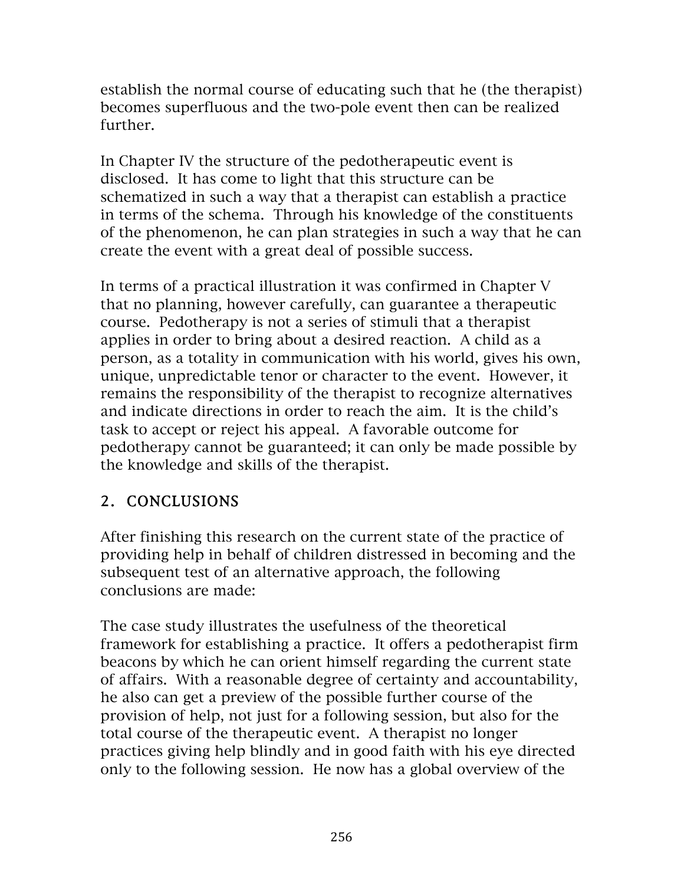establish the normal course of educating such that he (the therapist) becomes superfluous and the two-pole event then can be realized further.

In Chapter IV the structure of the pedotherapeutic event is disclosed. It has come to light that this structure can be schematized in such a way that a therapist can establish a practice in terms of the schema. Through his knowledge of the constituents of the phenomenon, he can plan strategies in such a way that he can create the event with a great deal of possible success.

In terms of a practical illustration it was confirmed in Chapter V that no planning, however carefully, can guarantee a therapeutic course. Pedotherapy is not a series of stimuli that a therapist applies in order to bring about a desired reaction. A child as a person, as a totality in communication with his world, gives his own, unique, unpredictable tenor or character to the event. However, it remains the responsibility of the therapist to recognize alternatives and indicate directions in order to reach the aim. It is the child's task to accept or reject his appeal. A favorable outcome for pedotherapy cannot be guaranteed; it can only be made possible by the knowledge and skills of the therapist.

# 2. CONCLUSIONS

After finishing this research on the current state of the practice of providing help in behalf of children distressed in becoming and the subsequent test of an alternative approach, the following conclusions are made:

The case study illustrates the usefulness of the theoretical framework for establishing a practice. It offers a pedotherapist firm beacons by which he can orient himself regarding the current state of affairs. With a reasonable degree of certainty and accountability, he also can get a preview of the possible further course of the provision of help, not just for a following session, but also for the total course of the therapeutic event. A therapist no longer practices giving help blindly and in good faith with his eye directed only to the following session. He now has a global overview of the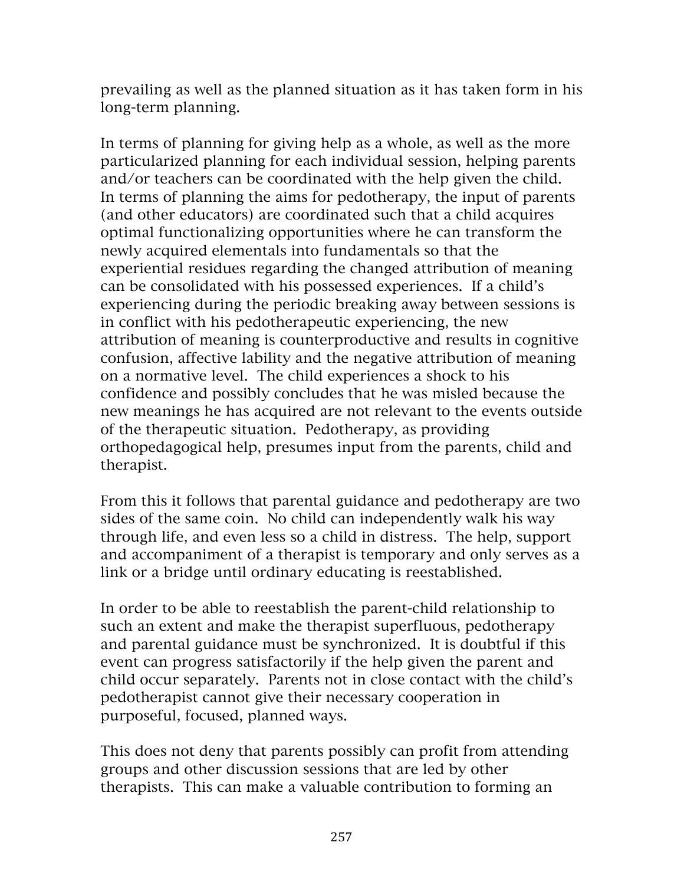prevailing as well as the planned situation as it has taken form in his long-term planning.

In terms of planning for giving help as a whole, as well as the more particularized planning for each individual session, helping parents and/or teachers can be coordinated with the help given the child. In terms of planning the aims for pedotherapy, the input of parents (and other educators) are coordinated such that a child acquires optimal functionalizing opportunities where he can transform the newly acquired elementals into fundamentals so that the experiential residues regarding the changed attribution of meaning can be consolidated with his possessed experiences. If a child's experiencing during the periodic breaking away between sessions is in conflict with his pedotherapeutic experiencing, the new attribution of meaning is counterproductive and results in cognitive confusion, affective lability and the negative attribution of meaning on a normative level. The child experiences a shock to his confidence and possibly concludes that he was misled because the new meanings he has acquired are not relevant to the events outside of the therapeutic situation. Pedotherapy, as providing orthopedagogical help, presumes input from the parents, child and therapist.

From this it follows that parental guidance and pedotherapy are two sides of the same coin. No child can independently walk his way through life, and even less so a child in distress. The help, support and accompaniment of a therapist is temporary and only serves as a link or a bridge until ordinary educating is reestablished.

In order to be able to reestablish the parent-child relationship to such an extent and make the therapist superfluous, pedotherapy and parental guidance must be synchronized. It is doubtful if this event can progress satisfactorily if the help given the parent and child occur separately. Parents not in close contact with the child's pedotherapist cannot give their necessary cooperation in purposeful, focused, planned ways.

This does not deny that parents possibly can profit from attending groups and other discussion sessions that are led by other therapists. This can make a valuable contribution to forming an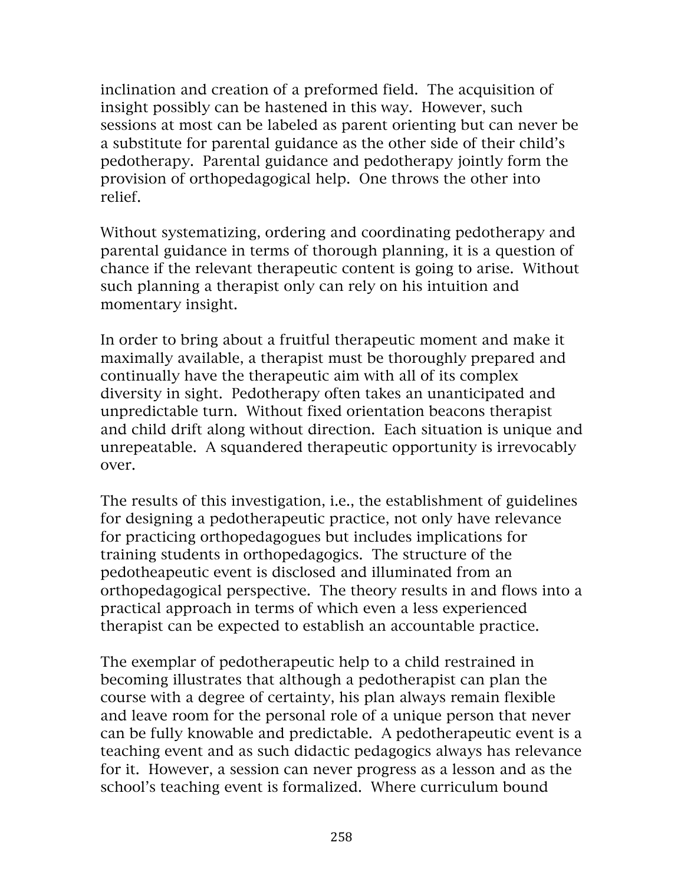inclination and creation of a preformed field. The acquisition of insight possibly can be hastened in this way. However, such sessions at most can be labeled as parent orienting but can never be a substitute for parental guidance as the other side of their child's pedotherapy. Parental guidance and pedotherapy jointly form the provision of orthopedagogical help. One throws the other into relief.

Without systematizing, ordering and coordinating pedotherapy and parental guidance in terms of thorough planning, it is a question of chance if the relevant therapeutic content is going to arise. Without such planning a therapist only can rely on his intuition and momentary insight.

In order to bring about a fruitful therapeutic moment and make it maximally available, a therapist must be thoroughly prepared and continually have the therapeutic aim with all of its complex diversity in sight. Pedotherapy often takes an unanticipated and unpredictable turn. Without fixed orientation beacons therapist and child drift along without direction. Each situation is unique and unrepeatable. A squandered therapeutic opportunity is irrevocably over.

The results of this investigation, i.e., the establishment of guidelines for designing a pedotherapeutic practice, not only have relevance for practicing orthopedagogues but includes implications for training students in orthopedagogics. The structure of the pedotheapeutic event is disclosed and illuminated from an orthopedagogical perspective. The theory results in and flows into a practical approach in terms of which even a less experienced therapist can be expected to establish an accountable practice.

The exemplar of pedotherapeutic help to a child restrained in becoming illustrates that although a pedotherapist can plan the course with a degree of certainty, his plan always remain flexible and leave room for the personal role of a unique person that never can be fully knowable and predictable. A pedotherapeutic event is a teaching event and as such didactic pedagogics always has relevance for it. However, a session can never progress as a lesson and as the school's teaching event is formalized. Where curriculum bound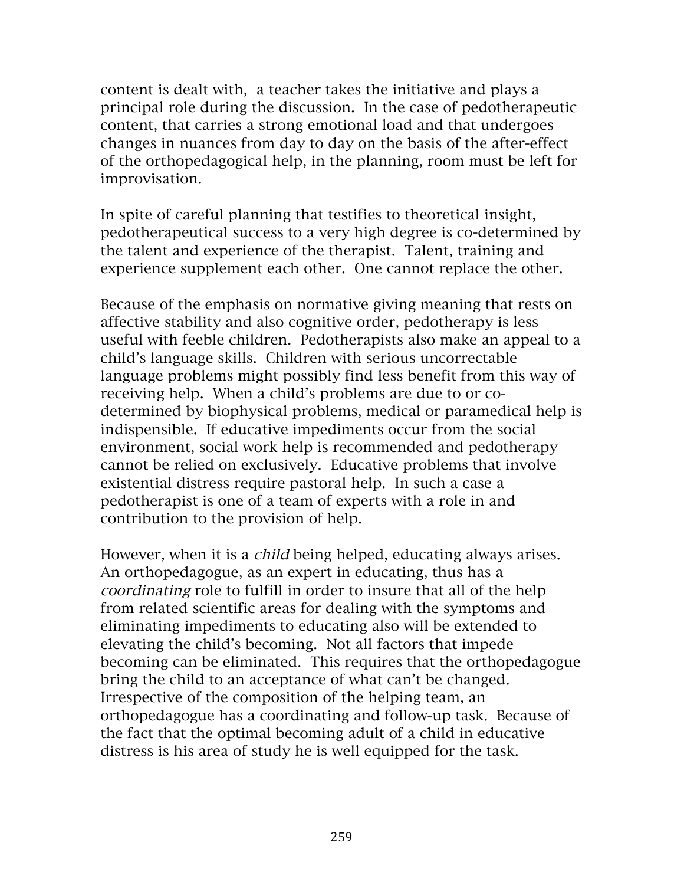content is dealt with, a teacher takes the initiative and plays a principal role during the discussion. In the case of pedotherapeutic content, that carries a strong emotional load and that undergoes changes in nuances from day to day on the basis of the after-effect of the orthopedagogical help, in the planning, room must be left for improvisation.

In spite of careful planning that testifies to theoretical insight, pedotherapeutical success to a very high degree is co-determined by the talent and experience of the therapist. Talent, training and experience supplement each other. One cannot replace the other.

Because of the emphasis on normative giving meaning that rests on affective stability and also cognitive order, pedotherapy is less useful with feeble children. Pedotherapists also make an appeal to a child's language skills. Children with serious uncorrectable language problems might possibly find less benefit from this way of receiving help. When a child's problems are due to or codetermined by biophysical problems, medical or paramedical help is indispensible. If educative impediments occur from the social environment, social work help is recommended and pedotherapy cannot be relied on exclusively. Educative problems that involve existential distress require pastoral help. In such a case a pedotherapist is one of a team of experts with a role in and contribution to the provision of help.

However, when it is a *child* being helped, educating always arises. An orthopedagogue, as an expert in educating, thus has a coordinating role to fulfill in order to insure that all of the help from related scientific areas for dealing with the symptoms and eliminating impediments to educating also will be extended to elevating the child's becoming. Not all factors that impede becoming can be eliminated. This requires that the orthopedagogue bring the child to an acceptance of what can't be changed. Irrespective of the composition of the helping team, an orthopedagogue has a coordinating and follow-up task. Because of the fact that the optimal becoming adult of a child in educative distress is his area of study he is well equipped for the task.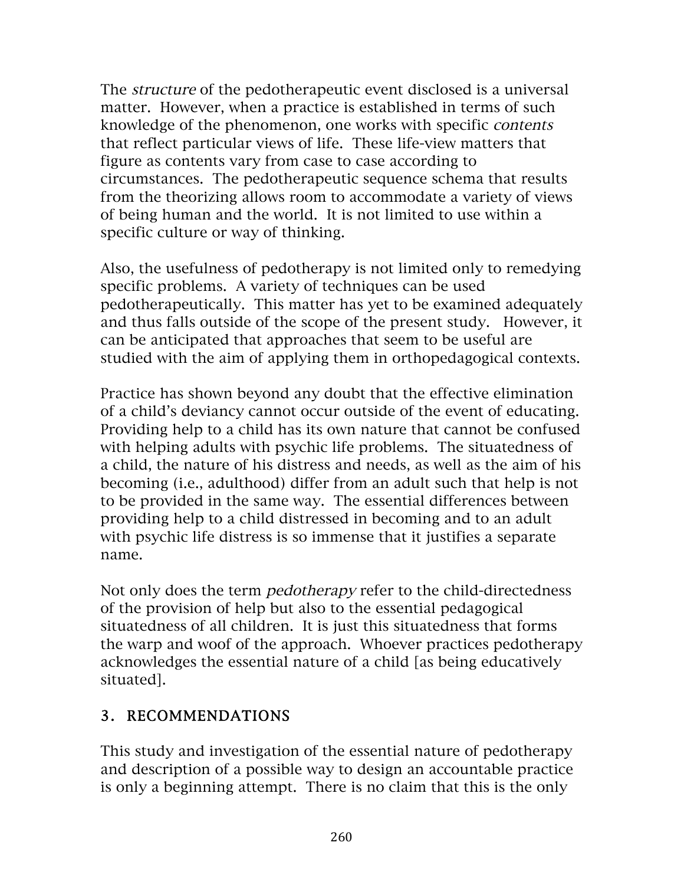The *structure* of the pedotherapeutic event disclosed is a universal matter. However, when a practice is established in terms of such knowledge of the phenomenon, one works with specific contents that reflect particular views of life. These life-view matters that figure as contents vary from case to case according to circumstances. The pedotherapeutic sequence schema that results from the theorizing allows room to accommodate a variety of views of being human and the world. It is not limited to use within a specific culture or way of thinking.

Also, the usefulness of pedotherapy is not limited only to remedying specific problems. A variety of techniques can be used pedotherapeutically. This matter has yet to be examined adequately and thus falls outside of the scope of the present study. However, it can be anticipated that approaches that seem to be useful are studied with the aim of applying them in orthopedagogical contexts.

Practice has shown beyond any doubt that the effective elimination of a child's deviancy cannot occur outside of the event of educating. Providing help to a child has its own nature that cannot be confused with helping adults with psychic life problems. The situatedness of a child, the nature of his distress and needs, as well as the aim of his becoming (i.e., adulthood) differ from an adult such that help is not to be provided in the same way. The essential differences between providing help to a child distressed in becoming and to an adult with psychic life distress is so immense that it justifies a separate name.

Not only does the term pedotherapy refer to the child-directedness of the provision of help but also to the essential pedagogical situatedness of all children. It is just this situatedness that forms the warp and woof of the approach. Whoever practices pedotherapy acknowledges the essential nature of a child [as being educatively situated].

# 3. RECOMMENDATIONS

This study and investigation of the essential nature of pedotherapy and description of a possible way to design an accountable practice is only a beginning attempt. There is no claim that this is the only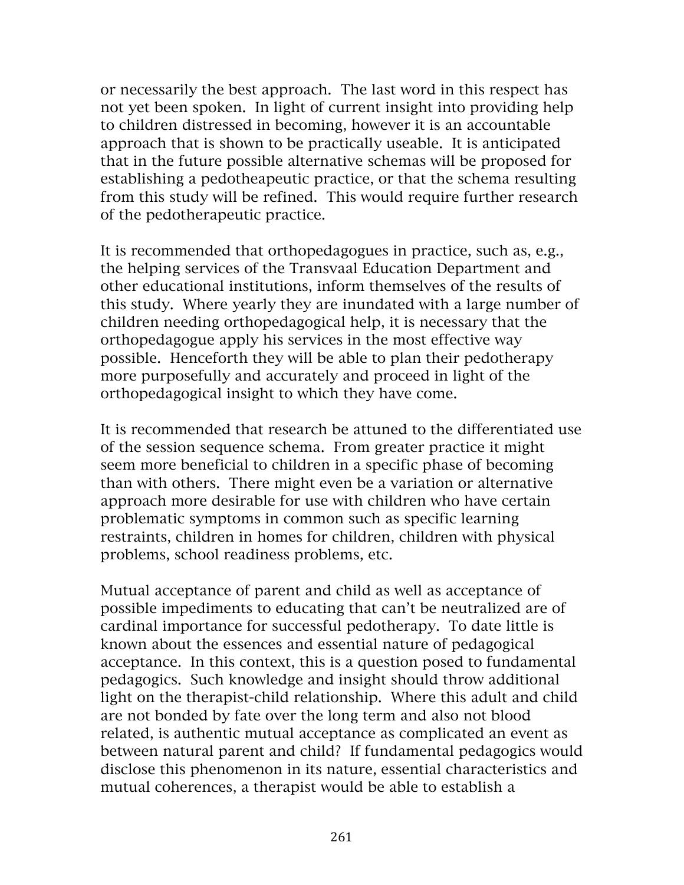or necessarily the best approach. The last word in this respect has not yet been spoken. In light of current insight into providing help to children distressed in becoming, however it is an accountable approach that is shown to be practically useable. It is anticipated that in the future possible alternative schemas will be proposed for establishing a pedotheapeutic practice, or that the schema resulting from this study will be refined. This would require further research of the pedotherapeutic practice.

It is recommended that orthopedagogues in practice, such as, e.g., the helping services of the Transvaal Education Department and other educational institutions, inform themselves of the results of this study. Where yearly they are inundated with a large number of children needing orthopedagogical help, it is necessary that the orthopedagogue apply his services in the most effective way possible. Henceforth they will be able to plan their pedotherapy more purposefully and accurately and proceed in light of the orthopedagogical insight to which they have come.

It is recommended that research be attuned to the differentiated use of the session sequence schema. From greater practice it might seem more beneficial to children in a specific phase of becoming than with others. There might even be a variation or alternative approach more desirable for use with children who have certain problematic symptoms in common such as specific learning restraints, children in homes for children, children with physical problems, school readiness problems, etc.

Mutual acceptance of parent and child as well as acceptance of possible impediments to educating that can't be neutralized are of cardinal importance for successful pedotherapy. To date little is known about the essences and essential nature of pedagogical acceptance. In this context, this is a question posed to fundamental pedagogics. Such knowledge and insight should throw additional light on the therapist-child relationship. Where this adult and child are not bonded by fate over the long term and also not blood related, is authentic mutual acceptance as complicated an event as between natural parent and child? If fundamental pedagogics would disclose this phenomenon in its nature, essential characteristics and mutual coherences, a therapist would be able to establish a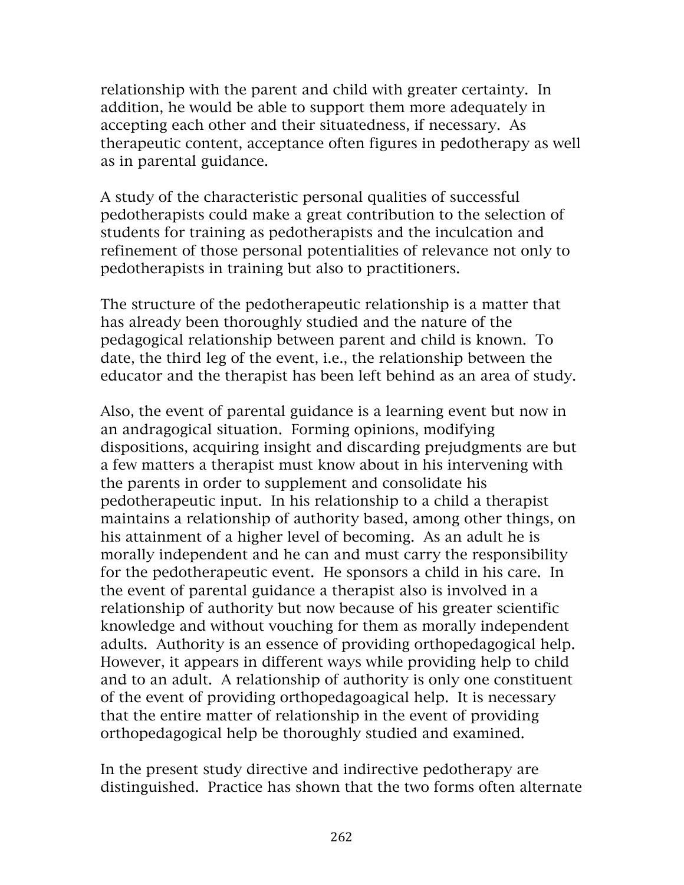relationship with the parent and child with greater certainty. In addition, he would be able to support them more adequately in accepting each other and their situatedness, if necessary. As therapeutic content, acceptance often figures in pedotherapy as well as in parental guidance.

A study of the characteristic personal qualities of successful pedotherapists could make a great contribution to the selection of students for training as pedotherapists and the inculcation and refinement of those personal potentialities of relevance not only to pedotherapists in training but also to practitioners.

The structure of the pedotherapeutic relationship is a matter that has already been thoroughly studied and the nature of the pedagogical relationship between parent and child is known. To date, the third leg of the event, i.e., the relationship between the educator and the therapist has been left behind as an area of study.

Also, the event of parental guidance is a learning event but now in an andragogical situation. Forming opinions, modifying dispositions, acquiring insight and discarding prejudgments are but a few matters a therapist must know about in his intervening with the parents in order to supplement and consolidate his pedotherapeutic input. In his relationship to a child a therapist maintains a relationship of authority based, among other things, on his attainment of a higher level of becoming. As an adult he is morally independent and he can and must carry the responsibility for the pedotherapeutic event. He sponsors a child in his care. In the event of parental guidance a therapist also is involved in a relationship of authority but now because of his greater scientific knowledge and without vouching for them as morally independent adults. Authority is an essence of providing orthopedagogical help. However, it appears in different ways while providing help to child and to an adult. A relationship of authority is only one constituent of the event of providing orthopedagoagical help. It is necessary that the entire matter of relationship in the event of providing orthopedagogical help be thoroughly studied and examined.

In the present study directive and indirective pedotherapy are distinguished. Practice has shown that the two forms often alternate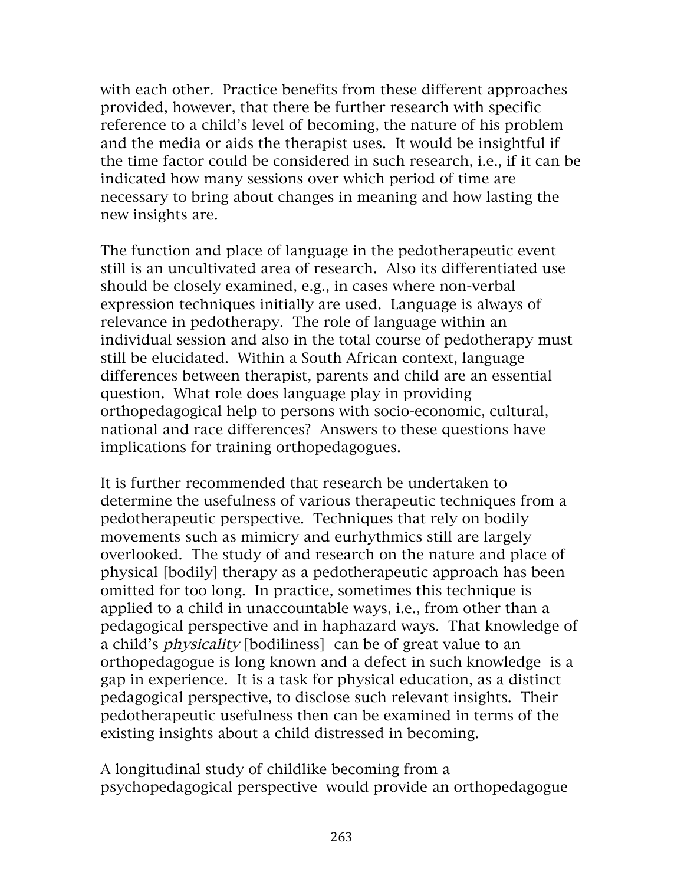with each other. Practice benefits from these different approaches provided, however, that there be further research with specific reference to a child's level of becoming, the nature of his problem and the media or aids the therapist uses. It would be insightful if the time factor could be considered in such research, i.e., if it can be indicated how many sessions over which period of time are necessary to bring about changes in meaning and how lasting the new insights are.

The function and place of language in the pedotherapeutic event still is an uncultivated area of research. Also its differentiated use should be closely examined, e.g., in cases where non-verbal expression techniques initially are used. Language is always of relevance in pedotherapy. The role of language within an individual session and also in the total course of pedotherapy must still be elucidated. Within a South African context, language differences between therapist, parents and child are an essential question. What role does language play in providing orthopedagogical help to persons with socio-economic, cultural, national and race differences? Answers to these questions have implications for training orthopedagogues.

It is further recommended that research be undertaken to determine the usefulness of various therapeutic techniques from a pedotherapeutic perspective. Techniques that rely on bodily movements such as mimicry and eurhythmics still are largely overlooked. The study of and research on the nature and place of physical [bodily] therapy as a pedotherapeutic approach has been omitted for too long. In practice, sometimes this technique is applied to a child in unaccountable ways, i.e., from other than a pedagogical perspective and in haphazard ways. That knowledge of a child's physicality [bodiliness] can be of great value to an orthopedagogue is long known and a defect in such knowledge is a gap in experience. It is a task for physical education, as a distinct pedagogical perspective, to disclose such relevant insights. Their pedotherapeutic usefulness then can be examined in terms of the existing insights about a child distressed in becoming.

A longitudinal study of childlike becoming from a psychopedagogical perspective would provide an orthopedagogue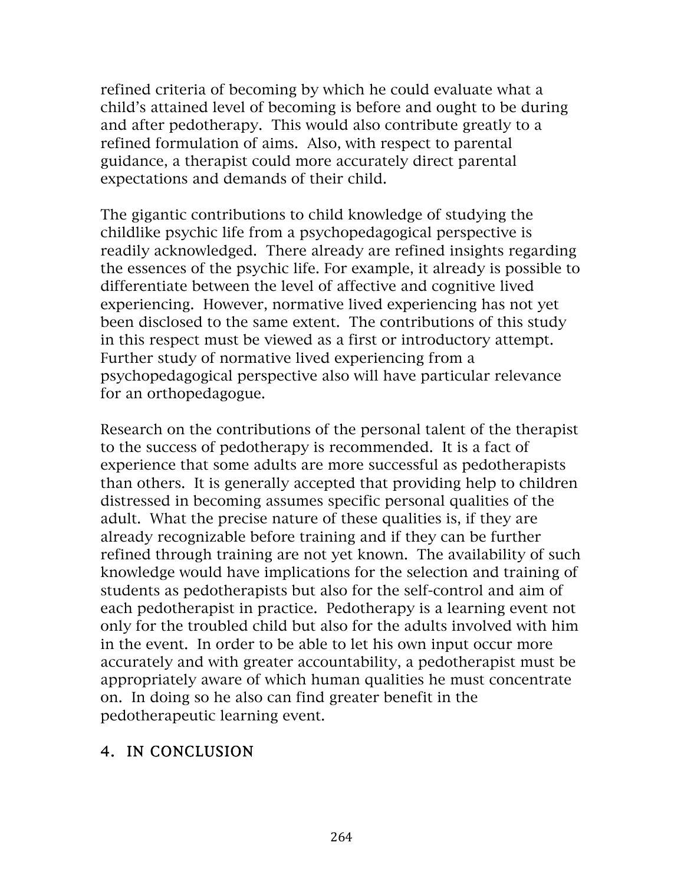refined criteria of becoming by which he could evaluate what a child's attained level of becoming is before and ought to be during and after pedotherapy. This would also contribute greatly to a refined formulation of aims. Also, with respect to parental guidance, a therapist could more accurately direct parental expectations and demands of their child.

The gigantic contributions to child knowledge of studying the childlike psychic life from a psychopedagogical perspective is readily acknowledged. There already are refined insights regarding the essences of the psychic life. For example, it already is possible to differentiate between the level of affective and cognitive lived experiencing. However, normative lived experiencing has not yet been disclosed to the same extent. The contributions of this study in this respect must be viewed as a first or introductory attempt. Further study of normative lived experiencing from a psychopedagogical perspective also will have particular relevance for an orthopedagogue.

Research on the contributions of the personal talent of the therapist to the success of pedotherapy is recommended. It is a fact of experience that some adults are more successful as pedotherapists than others. It is generally accepted that providing help to children distressed in becoming assumes specific personal qualities of the adult. What the precise nature of these qualities is, if they are already recognizable before training and if they can be further refined through training are not yet known. The availability of such knowledge would have implications for the selection and training of students as pedotherapists but also for the self-control and aim of each pedotherapist in practice. Pedotherapy is a learning event not only for the troubled child but also for the adults involved with him in the event. In order to be able to let his own input occur more accurately and with greater accountability, a pedotherapist must be appropriately aware of which human qualities he must concentrate on. In doing so he also can find greater benefit in the pedotherapeutic learning event.

### 4. IN CONCLUSION